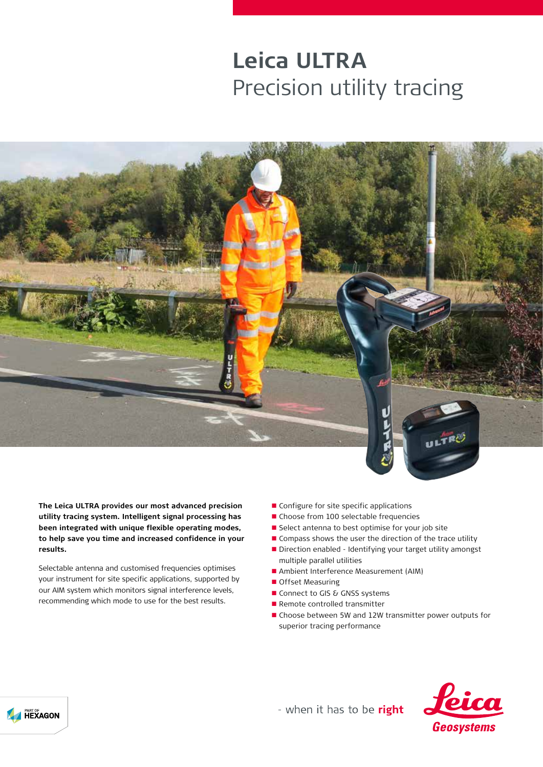# **Leica ULTRA**  Precision utility tracing



**The Leica ULTRA provides our most advanced precision utility tracing system. Intelligent signal processing has been integrated with unique flexible operating modes, to help save you time and increased confidence in your results.**

Selectable antenna and customised frequencies optimises your instrument for site specific applications, supported by our AIM system which monitors signal interference levels, recommending which mode to use for the best results.

- $\blacksquare$  Configure for site specific applications
- Choose from 100 selectable frequencies
- $\blacksquare$  Select antenna to best optimise for your job site
- $\blacksquare$  Compass shows the user the direction of the trace utility
- Direction enabled Identifying your target utility amongst multiple parallel utilities
- **n** Ambient Interference Measurement (AIM)
- Offset Measuring
- Connect to GIS & GNSS systems
- $\blacksquare$  Remote controlled transmitter
- n Choose between 5W and 12W transmitter power outputs for superior tracing performance



- when it has to be right